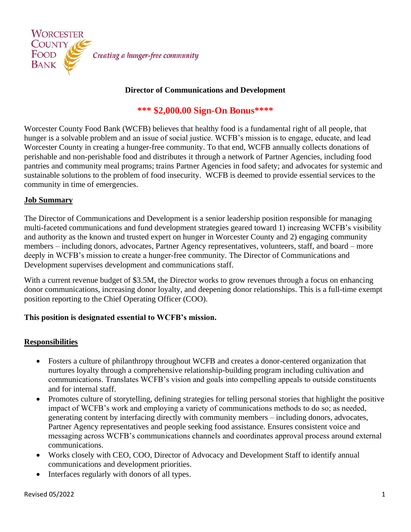

## **Director of Communications and Development**

# **\*\*\* \$2,000.00 Sign-On Bonus\*\*\*\***

Worcester County Food Bank (WCFB) believes that healthy food is a fundamental right of all people, that hunger is a solvable problem and an issue of social justice. WCFB's mission is to engage, educate, and lead Worcester County in creating a hunger-free community. To that end, WCFB annually collects donations of perishable and non-perishable food and distributes it through a network of Partner Agencies, including food pantries and community meal programs; trains Partner Agencies in food safety; and advocates for systemic and sustainable solutions to the problem of food insecurity. WCFB is deemed to provide essential services to the community in time of emergencies.

#### **Job Summary**

The Director of Communications and Development is a senior leadership position responsible for managing multi-faceted communications and fund development strategies geared toward 1) increasing WCFB's visibility and authority as the known and trusted expert on hunger in Worcester County and 2) engaging community members – including donors, advocates, Partner Agency representatives, volunteers, staff, and board – more deeply in WCFB's mission to create a hunger-free community. The Director of Communications and Development supervises development and communications staff.

With a current revenue budget of \$3.5M, the Director works to grow revenues through a focus on enhancing donor communications, increasing donor loyalty, and deepening donor relationships. This is a full-time exempt position reporting to the Chief Operating Officer (COO).

### **This position is designated essential to WCFB's mission.**

### **Responsibilities**

- Fosters a culture of philanthropy throughout WCFB and creates a donor-centered organization that nurtures loyalty through a comprehensive relationship-building program including cultivation and communications. Translates WCFB's vision and goals into compelling appeals to outside constituents and for internal staff.
- Promotes culture of storytelling, defining strategies for telling personal stories that highlight the positive impact of WCFB's work and employing a variety of communications methods to do so; as needed, generating content by interfacing directly with community members – including donors, advocates, Partner Agency representatives and people seeking food assistance. Ensures consistent voice and messaging across WCFB's communications channels and coordinates approval process around external communications.
- Works closely with CEO, COO, Director of Advocacy and Development Staff to identify annual communications and development priorities.
- Interfaces regularly with donors of all types.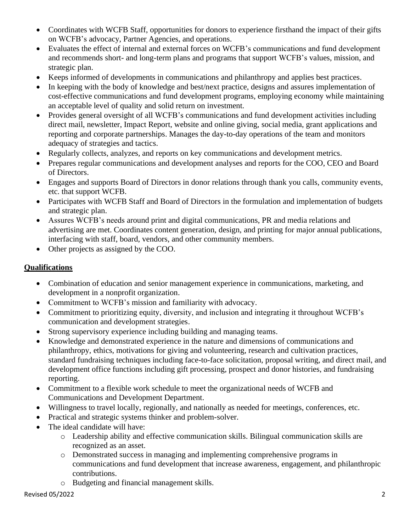- Coordinates with WCFB Staff, opportunities for donors to experience firsthand the impact of their gifts on WCFB's advocacy, Partner Agencies, and operations.
- Evaluates the effect of internal and external forces on WCFB's communications and fund development and recommends short- and long-term plans and programs that support WCFB's values, mission, and strategic plan.
- Keeps informed of developments in communications and philanthropy and applies best practices.
- In keeping with the body of knowledge and best/next practice, designs and assures implementation of cost-effective communications and fund development programs, employing economy while maintaining an acceptable level of quality and solid return on investment.
- Provides general oversight of all WCFB's communications and fund development activities including direct mail, newsletter, Impact Report, website and online giving, social media, grant applications and reporting and corporate partnerships. Manages the day-to-day operations of the team and monitors adequacy of strategies and tactics.
- Regularly collects, analyzes, and reports on key communications and development metrics.
- Prepares regular communications and development analyses and reports for the COO, CEO and Board of Directors.
- Engages and supports Board of Directors in donor relations through thank you calls, community events, etc. that support WCFB.
- Participates with WCFB Staff and Board of Directors in the formulation and implementation of budgets and strategic plan.
- Assures WCFB's needs around print and digital communications, PR and media relations and advertising are met. Coordinates content generation, design, and printing for major annual publications, interfacing with staff, board, vendors, and other community members.
- Other projects as assigned by the COO.

## **Qualifications**

- Combination of education and senior management experience in communications, marketing, and development in a nonprofit organization.
- Commitment to WCFB's mission and familiarity with advocacy.
- Commitment to prioritizing equity, diversity, and inclusion and integrating it throughout WCFB's communication and development strategies.
- Strong supervisory experience including building and managing teams.
- Knowledge and demonstrated experience in the nature and dimensions of communications and philanthropy, ethics, motivations for giving and volunteering, research and cultivation practices, standard fundraising techniques including face-to-face solicitation, proposal writing, and direct mail, and development office functions including gift processing, prospect and donor histories, and fundraising reporting.
- Commitment to a flexible work schedule to meet the organizational needs of WCFB and Communications and Development Department.
- Willingness to travel locally, regionally, and nationally as needed for meetings, conferences, etc.
- Practical and strategic systems thinker and problem-solver.
- The ideal candidate will have:
	- o Leadership ability and effective communication skills. Bilingual communication skills are recognized as an asset.
	- o Demonstrated success in managing and implementing comprehensive programs in communications and fund development that increase awareness, engagement, and philanthropic contributions.
	- o Budgeting and financial management skills.